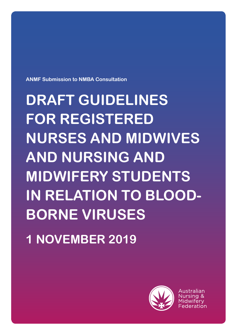**ANMF Submission to NMBA Consultation** 

**DRAFT GUIDELINES FOR REGISTERED NURSES AND MIDWIVES AND NURSING AND MIDWIFERY STUDENTS IN RELATION TO BLOOD-BORNE VIRUSES 1 NOVEMBER 2019**



Australian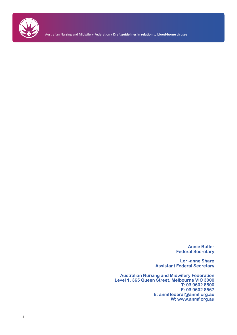

Australian Nursing and Midwifery Federation / **Draft guidelines in relation to blood-borne viruses**

**Annie Butler Federal Secretary**

**Lori-anne Sharp Assistant Federal Secretary**

**Australian Nursing and Midwifery Federation Level 1, 365 Queen Street, Melbourne VIC 3000 T: 03 9602 8500 F: 03 9602 8567 E: anmffederal@anmf.org.au W: www.anmf.org.au**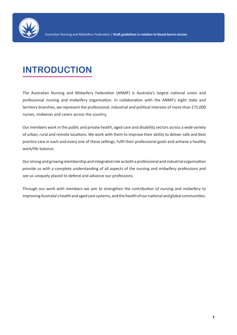

## **INTRODUCTION**

The Australian Nursing and Midwifery Federation (ANMF) is Australia's largest national union and professional nursing and midwifery organisation. In collaboration with the ANMF's eight state and territory branches, we represent the professional, industrial and political interests of more than 275,000 nurses, midwives and carers across the country.

Our members work in the public and private health, aged care and disability sectors across a wide variety of urban, rural and remote locations. We work with them to improve their ability to deliver safe and best practice care in each and every one of these settings, fulfil their professional goals and achieve a healthy work/life balance.

Our strong and growing membership and integrated role as both a professional and industrial organisation provide us with a complete understanding of all aspects of the nursing and midwifery professions and see us uniquely placed to defend and advance our professions.

Through our work with members we aim to strengthen the contribution of nursing and midwifery to improving Australia's health and aged care systems, and the health of our national and global communities.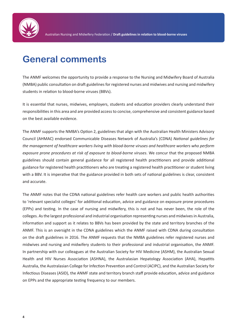

### **General comments**

The ANMF welcomes the opportunity to provide a response to the Nursing and Midwifery Board of Australia (NMBA) public consultation on draft guidelines for registered nurses and midwives and nursing and midwifery students in relation to blood-borne viruses (BBVs).

It is essential that nurses, midwives, employers, students and education providers clearly understand their responsibilities in this area and are provided access to concise, comprehensive and consistent guidance based on the best available evidence.

The ANMF supports the NMBA's Option 2, guidelines that align with the Australian Health Ministers Advisory Council (AHMAC) endorsed Communicable Diseases Network of Australia's (CDNA) *National guidelines for the management of healthcare workers living with blood-borne viruses and healthcare workers who perform exposure prone procedures at risk of exposure to blood-borne viruses*. We concur that the proposed NMBA guidelines should contain general guidance for all registered health practitioners and provide additional guidance for registered health practitioners who are treating a registered health practitioner or student living with a BBV. It is imperative that the guidance provided in both sets of national guidelines is clear, consistent and accurate.

The ANMF notes that the CDNA national guidelines refer health care workers and public health authorities to 'relevant specialist colleges' for additional education, advice and guidance on exposure prone procedures (EPPs) and testing. In the case of nursing and midwifery, this is not and has never been, the role of the colleges. As the largest professional and industrial organisation representing nurses and midwives in Australia, information and support as it relates to BBVs has been provided by the state and territory branches of the ANMF. This is an oversight in the CDNA guidelines which the ANMF raised with CDNA during consultation on the draft guidelines in 2016. The ANMF requests that the NMBA guidelines refer registered nurses and midwives and nursing and midwifery students to their professional and industrial organisation, the ANMF. In partnership with our colleagues at the Australian Society for HIV Medicine (ASHM), the Australian Sexual Health and HIV Nurses Association (ASHNA), the Australasian Hepatology Association (AHA), Hepatitis Australia, the Australasian College for Infection Prevention and Control (ACIPC), and the Australian Society for Infectious Diseases (ASID), the ANMF state and territory branch staff provide education, advice and guidance on EPPs and the appropriate testing frequency to our members.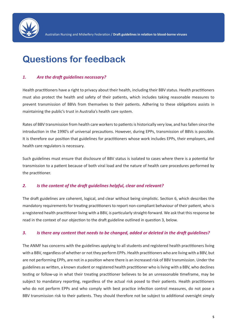

### **Questions for feedback**

#### *1. Are the draft guidelines necessary?*

Health practitioners have a right to privacy about their health, including their BBV status. Health practitioners must also protect the health and safety of their patients, which includes taking reasonable measures to prevent transmission of BBVs from themselves to their patients. Adhering to these obligations assists in maintaining the public's trust in Australia's health care system.

Rates of BBV transmission from health care workers to patients is historically very low, and has fallen since the introduction in the 1990's of universal precautions. However, during EPPs, transmission of BBVs is possible. It is therefore our position that guidelines for practitioners whose work includes EPPs, their employers, and health care regulators is necessary.

Such guidelines must ensure that disclosure of BBV status is isolated to cases where there is a potential for transmission to a patient because of both viral load and the nature of health care procedures performed by the practitioner.

#### *2. Is the content of the draft guidelines helpful, clear and relevant?*

The draft guidelines are coherent, logical, and clear without being simplistic. Section 6, which describes the mandatory requirements for treating practitioners to report non-compliant behaviour of their patient, who is a registered health practitioner living with a BBV, is particularly straight-forward. We ask that this response be read in the context of our objection to the draft guideline outlined in question 3, below.

#### *3. Is there any content that needs to be changed, added or deleted in the draft guidelines?*

The ANMF has concerns with the guidelines applying to all students and registered health practitioners living with a BBV, regardless of whether or not they perform EPPs. Health practitioners who are living with a BBV, but are not performing EPPs, are not in a position where there is an increased risk of BBV transmission. Under the guidelines as written, a known student or registered health practitioner who is living with a BBV, who declines testing or follow-up in what their treating practitioner believes to be an unreasonable timeframe, may be subject to mandatory reporting, regardless of the actual risk posed to their patients. Health practitioners who do not perform EPPs and who comply with best practice infection control measures, do not pose a BBV transmission risk to their patients. They should therefore not be subject to additional oversight simply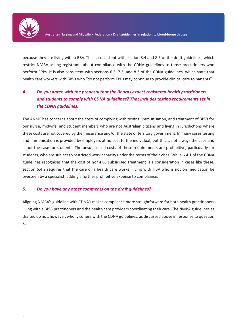

because they are living with a BBV. This is consistent with section 8.4 and 8.5 of the draft guidelines, which restrict NMBA asking registrants about compliance with the CDNA guidelines to those practitioners who perform EPPs. It is also consistent with sections 6.5, 7.3, and 8.3 of the CDNA guidelines, which state that health care workers with BBVs who "do not perform EPPs may continue to provide clinical care to patients".

### *4. Do you agree with the proposal that the Boards expect registered health practitioners and students to comply with CDNA guidelines? That includes testing requirements set in the CDNA guidelines.*

The ANMF has concerns about the costs of complying with testing, immunisation, and treatment of BBVs for our nurse, midwife, and student members who are not Australian citizens and living in jurisdictions where these costs are not covered by their insurance and/or the state or territory government. In many cases testing and immunisation is provided by employers at no cost to the individual, but this is not always the case and is not the case for students. The unsubsidised costs of these requirements are prohibitive, particularly for students, who are subject to restricted work capacity under the terms of their visas. While 6.4.1 of the CDNA guidelines recognises that the cost of non-PBS subsidised treatment is a consideration in cases like these, section 6.4.2 requires that the care of a health care worker living with HBV who is not on medication be overseen by a specialist, adding a further prohibitive expense to compliance.

#### *5. Do you have any other comments on the draft guidelines?*

Aligning NMBA's guideline with CDNA's makes compliance more straightforward for both health practitioners living with a BBV- practitioners and the health care providers coordinating their care. The NMBA guidelines as drafted do not, however, wholly cohere with the CDNA guidelines, as discussed above in response to question 3.